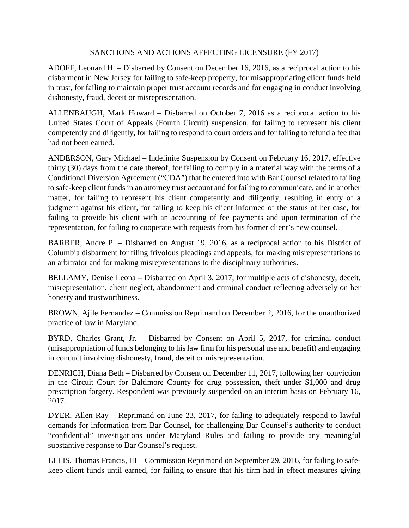## SANCTIONS AND ACTIONS AFFECTING LICENSURE (FY 2017)

ADOFF, Leonard H. – Disbarred by Consent on December 16, 2016, as a reciprocal action to his disbarment in New Jersey for failing to safe-keep property, for misappropriating client funds held in trust, for failing to maintain proper trust account records and for engaging in conduct involving dishonesty, fraud, deceit or misrepresentation.

ALLENBAUGH, Mark Howard – Disbarred on October 7, 2016 as a reciprocal action to his United States Court of Appeals (Fourth Circuit) suspension, for failing to represent his client competently and diligently, for failing to respond to court orders and for failing to refund a fee that had not been earned.

ANDERSON, Gary Michael – Indefinite Suspension by Consent on February 16, 2017, effective thirty (30) days from the date thereof, for failing to comply in a material way with the terms of a Conditional Diversion Agreement ("CDA") that he entered into with Bar Counsel related to failing to safe-keep client funds in an attorney trust account and for failing to communicate, and in another matter, for failing to represent his client competently and diligently, resulting in entry of a judgment against his client, for failing to keep his client informed of the status of her case, for failing to provide his client with an accounting of fee payments and upon termination of the representation, for failing to cooperate with requests from his former client's new counsel.

BARBER, Andre P. – Disbarred on August 19, 2016, as a reciprocal action to his District of Columbia disbarment for filing frivolous pleadings and appeals, for making misrepresentations to an arbitrator and for making misrepresentations to the disciplinary authorities.

BELLAMY, Denise Leona – Disbarred on April 3, 2017, for multiple acts of dishonesty, deceit, misrepresentation, client neglect, abandonment and criminal conduct reflecting adversely on her honesty and trustworthiness.

BROWN, Ajile Fernandez – Commission Reprimand on December 2, 2016, for the unauthorized practice of law in Maryland.

BYRD, Charles Grant, Jr. – Disbarred by Consent on April 5, 2017, for criminal conduct (misappropriation of funds belonging to his law firm for his personal use and benefit) and engaging in conduct involving dishonesty, fraud, deceit or misrepresentation.

DENRICH, Diana Beth – Disbarred by Consent on December 11, 2017, following her conviction in the Circuit Court for Baltimore County for drug possession, theft under \$1,000 and drug prescription forgery. Respondent was previously suspended on an interim basis on February 16, 2017.

DYER, Allen Ray – Reprimand on June 23, 2017, for failing to adequately respond to lawful demands for information from Bar Counsel, for challenging Bar Counsel's authority to conduct "confidential" investigations under Maryland Rules and failing to provide any meaningful substantive response to Bar Counsel's request.

ELLIS, Thomas Francis, III – Commission Reprimand on September 29, 2016, for failing to safekeep client funds until earned, for failing to ensure that his firm had in effect measures giving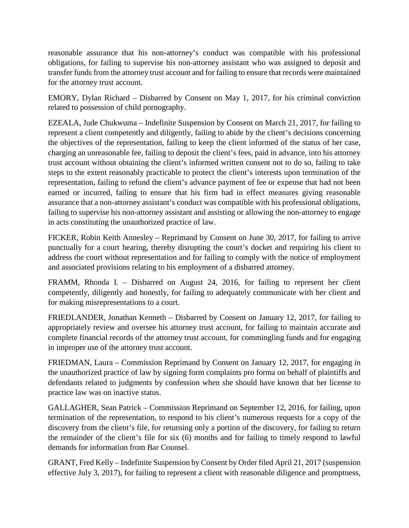reasonable assurance that his non-attorney's conduct was compatible with his professional obligations, for failing to supervise his non-attorney assistant who was assigned to deposit and transfer funds from the attorney trust account and for failing to ensure that records were maintained for the attorney trust account.

EMORY, Dylan Richard – Disbarred by Consent on May 1, 2017, for his criminal conviction related to possession of child pornography.

EZEALA, Jude Chukwuma – Indefinite Suspension by Consent on March 21, 2017, for failing to represent a client competently and diligently, failing to abide by the client's decisions concerning the objectives of the representation, failing to keep the client informed of the status of her case, charging an unreasonable fee, failing to deposit the client's fees, paid in advance, into his attorney trust account without obtaining the client's informed written consent not to do so, failing to take steps to the extent reasonably practicable to protect the client's interests upon termination of the representation, failing to refund the client's advance payment of fee or expense that had not been earned or incurred, failing to ensure that his firm had in effect measures giving reasonable assurance that a non-attorney assistant's conduct was compatible with his professional obligations, failing to supervise his non-attorney assistant and assisting or allowing the non-attorney to engage in acts constituting the unauthorized practice of law.

FICKER, Robin Keith Annesley – Reprimand by Consent on June 30, 2017, for failing to arrive punctually for a court hearing, thereby disrupting the court's docket and requiring his client to address the court without representation and for failing to comply with the notice of employment and associated provisions relating to his employment of a disbarred attorney.

FRAMM, Rhonda I. – Disbarred on August 24, 2016, for failing to represent her client competently, diligently and honestly, for failing to adequately communicate with her client and for making misrepresentations to a court.

FRIEDLANDER, Jonathan Kenneth – Disbarred by Consent on January 12, 2017, for failing to appropriately review and oversee his attorney trust account, for failing to maintain accurate and complete financial records of the attorney trust account, for commingling funds and for engaging in improper use of the attorney trust account.

FRIEDMAN, Laura – Commission Reprimand by Consent on January 12, 2017, for engaging in the unauthorized practice of law by signing form complaints pro forma on behalf of plaintiffs and defendants related to judgments by confession when she should have known that her license to practice law was on inactive status.

GALLAGHER, Sean Patrick – Commission Reprimand on September 12, 2016, for failing, upon termination of the representation, to respond to his client's numerous requests for a copy of the discovery from the client's file, for returning only a portion of the discovery, for failing to return the remainder of the client's file for six (6) months and for failing to timely respond to lawful demands for information from Bar Counsel.

GRANT, Fred Kelly – Indefinite Suspension by Consent by Order filed April 21, 2017 (suspension effective July 3, 2017), for failing to represent a client with reasonable diligence and promptness,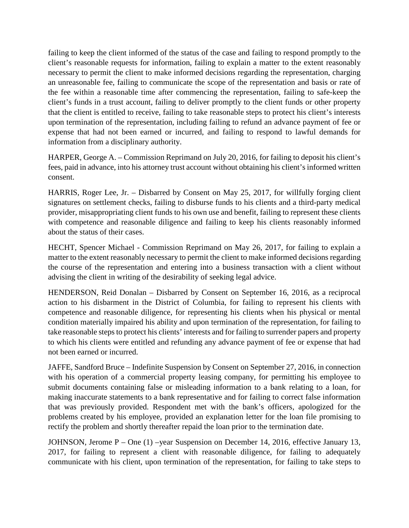failing to keep the client informed of the status of the case and failing to respond promptly to the client's reasonable requests for information, failing to explain a matter to the extent reasonably necessary to permit the client to make informed decisions regarding the representation, charging an unreasonable fee, failing to communicate the scope of the representation and basis or rate of the fee within a reasonable time after commencing the representation, failing to safe-keep the client's funds in a trust account, failing to deliver promptly to the client funds or other property that the client is entitled to receive, failing to take reasonable steps to protect his client's interests upon termination of the representation, including failing to refund an advance payment of fee or expense that had not been earned or incurred, and failing to respond to lawful demands for information from a disciplinary authority.

HARPER, George A. – Commission Reprimand on July 20, 2016, for failing to deposit his client's fees, paid in advance, into his attorney trust account without obtaining his client's informed written consent.

HARRIS, Roger Lee, Jr. – Disbarred by Consent on May 25, 2017, for willfully forging client signatures on settlement checks, failing to disburse funds to his clients and a third-party medical provider, misappropriating client funds to his own use and benefit, failing to represent these clients with competence and reasonable diligence and failing to keep his clients reasonably informed about the status of their cases.

HECHT, Spencer Michael - Commission Reprimand on May 26, 2017, for failing to explain a matter to the extent reasonably necessary to permit the client to make informed decisions regarding the course of the representation and entering into a business transaction with a client without advising the client in writing of the desirability of seeking legal advice.

HENDERSON, Reid Donalan – Disbarred by Consent on September 16, 2016, as a reciprocal action to his disbarment in the District of Columbia, for failing to represent his clients with competence and reasonable diligence, for representing his clients when his physical or mental condition materially impaired his ability and upon termination of the representation, for failing to take reasonable steps to protect his clients' interests and for failing to surrender papers and property to which his clients were entitled and refunding any advance payment of fee or expense that had not been earned or incurred.

JAFFE, Sandford Bruce – Indefinite Suspension by Consent on September 27, 2016, in connection with his operation of a commercial property leasing company, for permitting his employee to submit documents containing false or misleading information to a bank relating to a loan, for making inaccurate statements to a bank representative and for failing to correct false information that was previously provided. Respondent met with the bank's officers, apologized for the problems created by his employee, provided an explanation letter for the loan file promising to rectify the problem and shortly thereafter repaid the loan prior to the termination date.

JOHNSON, Jerome P – One (1) –year Suspension on December 14, 2016, effective January 13, 2017, for failing to represent a client with reasonable diligence, for failing to adequately communicate with his client, upon termination of the representation, for failing to take steps to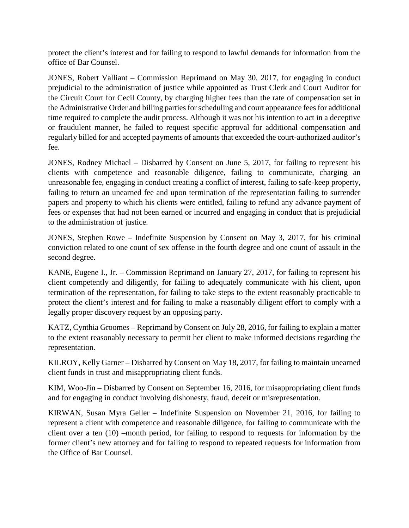protect the client's interest and for failing to respond to lawful demands for information from the office of Bar Counsel.

JONES, Robert Valliant – Commission Reprimand on May 30, 2017, for engaging in conduct prejudicial to the administration of justice while appointed as Trust Clerk and Court Auditor for the Circuit Court for Cecil County, by charging higher fees than the rate of compensation set in the Administrative Order and billing parties for scheduling and court appearance fees for additional time required to complete the audit process. Although it was not his intention to act in a deceptive or fraudulent manner, he failed to request specific approval for additional compensation and regularly billed for and accepted payments of amounts that exceeded the court-authorized auditor's fee.

JONES, Rodney Michael – Disbarred by Consent on June 5, 2017, for failing to represent his clients with competence and reasonable diligence, failing to communicate, charging an unreasonable fee, engaging in conduct creating a conflict of interest, failing to safe-keep property, failing to return an unearned fee and upon termination of the representation failing to surrender papers and property to which his clients were entitled, failing to refund any advance payment of fees or expenses that had not been earned or incurred and engaging in conduct that is prejudicial to the administration of justice.

JONES, Stephen Rowe – Indefinite Suspension by Consent on May 3, 2017, for his criminal conviction related to one count of sex offense in the fourth degree and one count of assault in the second degree.

KANE, Eugene I., Jr. – Commission Reprimand on January 27, 2017, for failing to represent his client competently and diligently, for failing to adequately communicate with his client, upon termination of the representation, for failing to take steps to the extent reasonably practicable to protect the client's interest and for failing to make a reasonably diligent effort to comply with a legally proper discovery request by an opposing party.

KATZ, Cynthia Groomes – Reprimand by Consent on July 28, 2016, for failing to explain a matter to the extent reasonably necessary to permit her client to make informed decisions regarding the representation.

KILROY, Kelly Garner – Disbarred by Consent on May 18, 2017, for failing to maintain unearned client funds in trust and misappropriating client funds.

KIM, Woo-Jin – Disbarred by Consent on September 16, 2016, for misappropriating client funds and for engaging in conduct involving dishonesty, fraud, deceit or misrepresentation.

KIRWAN, Susan Myra Geller – Indefinite Suspension on November 21, 2016, for failing to represent a client with competence and reasonable diligence, for failing to communicate with the client over a ten (10) –month period, for failing to respond to requests for information by the former client's new attorney and for failing to respond to repeated requests for information from the Office of Bar Counsel.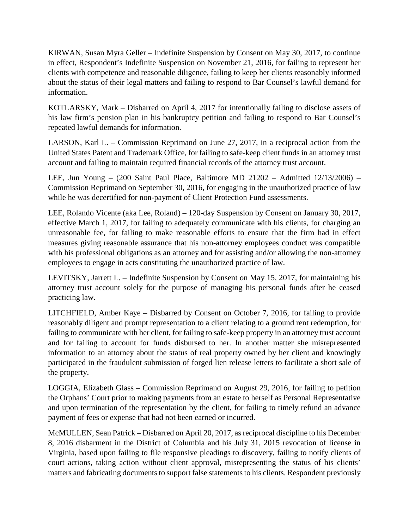KIRWAN, Susan Myra Geller – Indefinite Suspension by Consent on May 30, 2017, to continue in effect, Respondent's Indefinite Suspension on November 21, 2016, for failing to represent her clients with competence and reasonable diligence, failing to keep her clients reasonably informed about the status of their legal matters and failing to respond to Bar Counsel's lawful demand for information.

KOTLARSKY, Mark – Disbarred on April 4, 2017 for intentionally failing to disclose assets of his law firm's pension plan in his bankruptcy petition and failing to respond to Bar Counsel's repeated lawful demands for information.

LARSON, Karl L. – Commission Reprimand on June 27, 2017, in a reciprocal action from the United States Patent and Trademark Office, for failing to safe-keep client funds in an attorney trust account and failing to maintain required financial records of the attorney trust account.

LEE, Jun Young – (200 Saint Paul Place, Baltimore MD 21202 – Admitted 12/13/2006) – Commission Reprimand on September 30, 2016, for engaging in the unauthorized practice of law while he was decertified for non-payment of Client Protection Fund assessments.

LEE, Rolando Vicente (aka Lee, Roland) – 120-day Suspension by Consent on January 30, 2017, effective March 1, 2017, for failing to adequately communicate with his clients, for charging an unreasonable fee, for failing to make reasonable efforts to ensure that the firm had in effect measures giving reasonable assurance that his non-attorney employees conduct was compatible with his professional obligations as an attorney and for assisting and/or allowing the non-attorney employees to engage in acts constituting the unauthorized practice of law.

LEVITSKY, Jarrett L. – Indefinite Suspension by Consent on May 15, 2017, for maintaining his attorney trust account solely for the purpose of managing his personal funds after he ceased practicing law.

LITCHFIELD, Amber Kaye – Disbarred by Consent on October 7, 2016, for failing to provide reasonably diligent and prompt representation to a client relating to a ground rent redemption, for failing to communicate with her client, for failing to safe-keep property in an attorney trust account and for failing to account for funds disbursed to her. In another matter she misrepresented information to an attorney about the status of real property owned by her client and knowingly participated in the fraudulent submission of forged lien release letters to facilitate a short sale of the property.

LOGGIA, Elizabeth Glass – Commission Reprimand on August 29, 2016, for failing to petition the Orphans' Court prior to making payments from an estate to herself as Personal Representative and upon termination of the representation by the client, for failing to timely refund an advance payment of fees or expense that had not been earned or incurred.

McMULLEN, Sean Patrick – Disbarred on April 20, 2017, as reciprocal discipline to his December 8, 2016 disbarment in the District of Columbia and his July 31, 2015 revocation of license in Virginia, based upon failing to file responsive pleadings to discovery, failing to notify clients of court actions, taking action without client approval, misrepresenting the status of his clients' matters and fabricating documents to support false statements to his clients. Respondent previously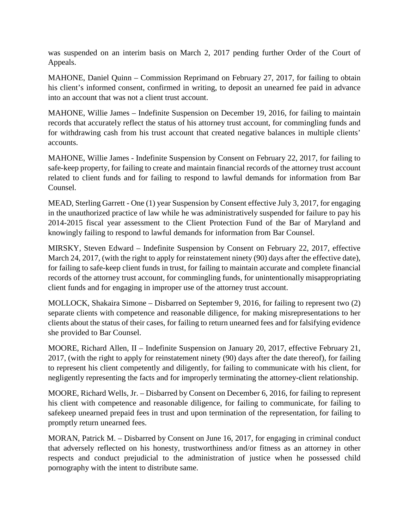was suspended on an interim basis on March 2, 2017 pending further Order of the Court of Appeals.

MAHONE, Daniel Quinn – Commission Reprimand on February 27, 2017, for failing to obtain his client's informed consent, confirmed in writing, to deposit an unearned fee paid in advance into an account that was not a client trust account.

MAHONE, Willie James – Indefinite Suspension on December 19, 2016, for failing to maintain records that accurately reflect the status of his attorney trust account, for commingling funds and for withdrawing cash from his trust account that created negative balances in multiple clients' accounts.

MAHONE, Willie James - Indefinite Suspension by Consent on February 22, 2017, for failing to safe-keep property, for failing to create and maintain financial records of the attorney trust account related to client funds and for failing to respond to lawful demands for information from Bar Counsel.

MEAD, Sterling Garrett - One (1) year Suspension by Consent effective July 3, 2017, for engaging in the unauthorized practice of law while he was administratively suspended for failure to pay his 2014-2015 fiscal year assessment to the Client Protection Fund of the Bar of Maryland and knowingly failing to respond to lawful demands for information from Bar Counsel.

MIRSKY, Steven Edward – Indefinite Suspension by Consent on February 22, 2017, effective March 24, 2017, (with the right to apply for reinstatement ninety (90) days after the effective date), for failing to safe-keep client funds in trust, for failing to maintain accurate and complete financial records of the attorney trust account, for commingling funds, for unintentionally misappropriating client funds and for engaging in improper use of the attorney trust account.

MOLLOCK, Shakaira Simone – Disbarred on September 9, 2016, for failing to represent two (2) separate clients with competence and reasonable diligence, for making misrepresentations to her clients about the status of their cases, for failing to return unearned fees and for falsifying evidence she provided to Bar Counsel.

MOORE, Richard Allen, II – Indefinite Suspension on January 20, 2017, effective February 21, 2017, (with the right to apply for reinstatement ninety (90) days after the date thereof), for failing to represent his client competently and diligently, for failing to communicate with his client, for negligently representing the facts and for improperly terminating the attorney-client relationship.

MOORE, Richard Wells, Jr. – Disbarred by Consent on December 6, 2016, for failing to represent his client with competence and reasonable diligence, for failing to communicate, for failing to safekeep unearned prepaid fees in trust and upon termination of the representation, for failing to promptly return unearned fees.

MORAN, Patrick M. – Disbarred by Consent on June 16, 2017, for engaging in criminal conduct that adversely reflected on his honesty, trustworthiness and/or fitness as an attorney in other respects and conduct prejudicial to the administration of justice when he possessed child pornography with the intent to distribute same.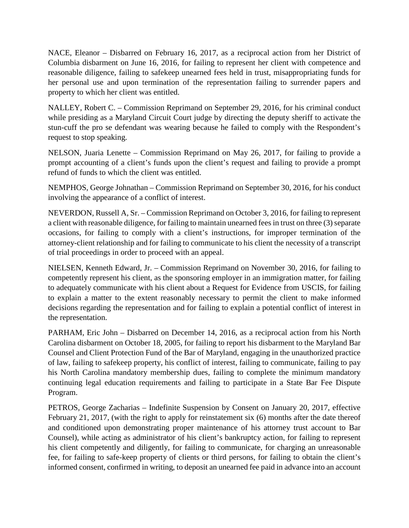NACE, Eleanor – Disbarred on February 16, 2017, as a reciprocal action from her District of Columbia disbarment on June 16, 2016, for failing to represent her client with competence and reasonable diligence, failing to safekeep unearned fees held in trust, misappropriating funds for her personal use and upon termination of the representation failing to surrender papers and property to which her client was entitled.

NALLEY, Robert C. – Commission Reprimand on September 29, 2016, for his criminal conduct while presiding as a Maryland Circuit Court judge by directing the deputy sheriff to activate the stun-cuff the pro se defendant was wearing because he failed to comply with the Respondent's request to stop speaking.

NELSON, Juaria Lenette – Commission Reprimand on May 26, 2017, for failing to provide a prompt accounting of a client's funds upon the client's request and failing to provide a prompt refund of funds to which the client was entitled.

NEMPHOS, George Johnathan – Commission Reprimand on September 30, 2016, for his conduct involving the appearance of a conflict of interest.

NEVERDON, Russell A, Sr. – Commission Reprimand on October 3, 2016, for failing to represent a client with reasonable diligence, for failing to maintain unearned fees in trust on three (3) separate occasions, for failing to comply with a client's instructions, for improper termination of the attorney-client relationship and for failing to communicate to his client the necessity of a transcript of trial proceedings in order to proceed with an appeal.

NIELSEN, Kenneth Edward, Jr. – Commission Reprimand on November 30, 2016, for failing to competently represent his client, as the sponsoring employer in an immigration matter, for failing to adequately communicate with his client about a Request for Evidence from USCIS, for failing to explain a matter to the extent reasonably necessary to permit the client to make informed decisions regarding the representation and for failing to explain a potential conflict of interest in the representation.

PARHAM, Eric John – Disbarred on December 14, 2016, as a reciprocal action from his North Carolina disbarment on October 18, 2005, for failing to report his disbarment to the Maryland Bar Counsel and Client Protection Fund of the Bar of Maryland, engaging in the unauthorized practice of law, failing to safekeep property, his conflict of interest, failing to communicate, failing to pay his North Carolina mandatory membership dues, failing to complete the minimum mandatory continuing legal education requirements and failing to participate in a State Bar Fee Dispute Program.

PETROS, George Zacharias – Indefinite Suspension by Consent on January 20, 2017, effective February 21, 2017, (with the right to apply for reinstatement six  $(6)$  months after the date thereof and conditioned upon demonstrating proper maintenance of his attorney trust account to Bar Counsel), while acting as administrator of his client's bankruptcy action, for failing to represent his client competently and diligently, for failing to communicate, for charging an unreasonable fee, for failing to safe-keep property of clients or third persons, for failing to obtain the client's informed consent, confirmed in writing, to deposit an unearned fee paid in advance into an account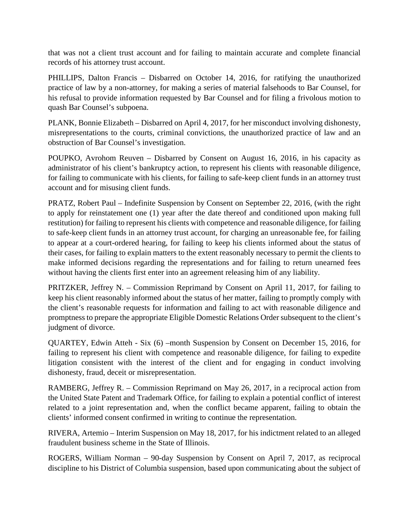that was not a client trust account and for failing to maintain accurate and complete financial records of his attorney trust account.

PHILLIPS, Dalton Francis – Disbarred on October 14, 2016, for ratifying the unauthorized practice of law by a non-attorney, for making a series of material falsehoods to Bar Counsel, for his refusal to provide information requested by Bar Counsel and for filing a frivolous motion to quash Bar Counsel's subpoena.

PLANK, Bonnie Elizabeth – Disbarred on April 4, 2017, for her misconduct involving dishonesty, misrepresentations to the courts, criminal convictions, the unauthorized practice of law and an obstruction of Bar Counsel's investigation.

POUPKO, Avrohom Reuven – Disbarred by Consent on August 16, 2016, in his capacity as administrator of his client's bankruptcy action, to represent his clients with reasonable diligence, for failing to communicate with his clients, for failing to safe-keep client funds in an attorney trust account and for misusing client funds.

PRATZ, Robert Paul – Indefinite Suspension by Consent on September 22, 2016, (with the right to apply for reinstatement one (1) year after the date thereof and conditioned upon making full restitution) for failing to represent his clients with competence and reasonable diligence, for failing to safe-keep client funds in an attorney trust account, for charging an unreasonable fee, for failing to appear at a court-ordered hearing, for failing to keep his clients informed about the status of their cases, for failing to explain matters to the extent reasonably necessary to permit the clients to make informed decisions regarding the representations and for failing to return unearned fees without having the clients first enter into an agreement releasing him of any liability.

PRITZKER, Jeffrey N. – Commission Reprimand by Consent on April 11, 2017, for failing to keep his client reasonably informed about the status of her matter, failing to promptly comply with the client's reasonable requests for information and failing to act with reasonable diligence and promptness to prepare the appropriate Eligible Domestic Relations Order subsequent to the client's judgment of divorce.

QUARTEY, Edwin Atteh - Six (6) –month Suspension by Consent on December 15, 2016, for failing to represent his client with competence and reasonable diligence, for failing to expedite litigation consistent with the interest of the client and for engaging in conduct involving dishonesty, fraud, deceit or misrepresentation.

RAMBERG, Jeffrey R. – Commission Reprimand on May 26, 2017, in a reciprocal action from the United State Patent and Trademark Office, for failing to explain a potential conflict of interest related to a joint representation and, when the conflict became apparent, failing to obtain the clients' informed consent confirmed in writing to continue the representation.

RIVERA, Artemio – Interim Suspension on May 18, 2017, for his indictment related to an alleged fraudulent business scheme in the State of Illinois.

ROGERS, William Norman – 90-day Suspension by Consent on April 7, 2017, as reciprocal discipline to his District of Columbia suspension, based upon communicating about the subject of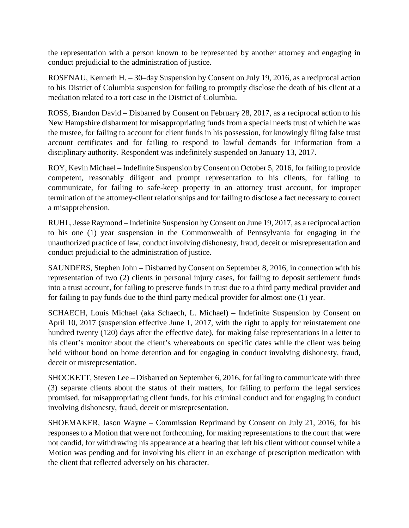the representation with a person known to be represented by another attorney and engaging in conduct prejudicial to the administration of justice.

ROSENAU, Kenneth H. – 30–day Suspension by Consent on July 19, 2016, as a reciprocal action to his District of Columbia suspension for failing to promptly disclose the death of his client at a mediation related to a tort case in the District of Columbia.

ROSS, Brandon David – Disbarred by Consent on February 28, 2017, as a reciprocal action to his New Hampshire disbarment for misappropriating funds from a special needs trust of which he was the trustee, for failing to account for client funds in his possession, for knowingly filing false trust account certificates and for failing to respond to lawful demands for information from a disciplinary authority. Respondent was indefinitely suspended on January 13, 2017.

ROY, Kevin Michael – Indefinite Suspension by Consent on October 5, 2016, for failing to provide competent, reasonably diligent and prompt representation to his clients, for failing to communicate, for failing to safe-keep property in an attorney trust account, for improper termination of the attorney-client relationships and for failing to disclose a fact necessary to correct a misapprehension.

RUHL, Jesse Raymond – Indefinite Suspension by Consent on June 19, 2017, as a reciprocal action to his one (1) year suspension in the Commonwealth of Pennsylvania for engaging in the unauthorized practice of law, conduct involving dishonesty, fraud, deceit or misrepresentation and conduct prejudicial to the administration of justice.

SAUNDERS, Stephen John – Disbarred by Consent on September 8, 2016, in connection with his representation of two (2) clients in personal injury cases, for failing to deposit settlement funds into a trust account, for failing to preserve funds in trust due to a third party medical provider and for failing to pay funds due to the third party medical provider for almost one (1) year.

SCHAECH, Louis Michael (aka Schaech, L. Michael) – Indefinite Suspension by Consent on April 10, 2017 (suspension effective June 1, 2017, with the right to apply for reinstatement one hundred twenty (120) days after the effective date), for making false representations in a letter to his client's monitor about the client's whereabouts on specific dates while the client was being held without bond on home detention and for engaging in conduct involving dishonesty, fraud, deceit or misrepresentation.

SHOCKETT, Steven Lee – Disbarred on September 6, 2016, for failing to communicate with three (3) separate clients about the status of their matters, for failing to perform the legal services promised, for misappropriating client funds, for his criminal conduct and for engaging in conduct involving dishonesty, fraud, deceit or misrepresentation.

SHOEMAKER, Jason Wayne – Commission Reprimand by Consent on July 21, 2016, for his responses to a Motion that were not forthcoming, for making representations to the court that were not candid, for withdrawing his appearance at a hearing that left his client without counsel while a Motion was pending and for involving his client in an exchange of prescription medication with the client that reflected adversely on his character.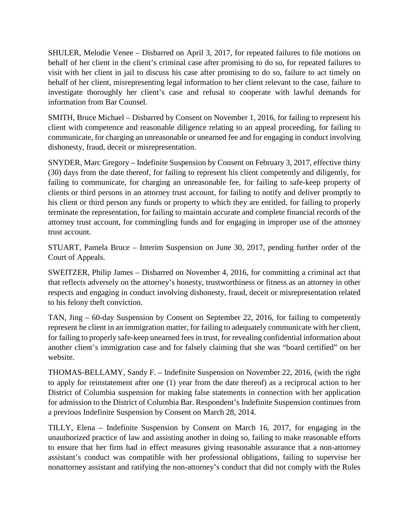SHULER, Melodie Venee – Disbarred on April 3, 2017, for repeated failures to file motions on behalf of her client in the client's criminal case after promising to do so, for repeated failures to visit with her client in jail to discuss his case after promising to do so, failure to act timely on behalf of her client, misrepresenting legal information to her client relevant to the case, failure to investigate thoroughly her client's case and refusal to cooperate with lawful demands for information from Bar Counsel.

SMITH, Bruce Michael – Disbarred by Consent on November 1, 2016, for failing to represent his client with competence and reasonable diligence relating to an appeal proceeding, for failing to communicate, for charging an unreasonable or unearned fee and for engaging in conduct involving dishonesty, fraud, deceit or misrepresentation.

SNYDER, Marc Gregory – Indefinite Suspension by Consent on February 3, 2017, effective thirty (30) days from the date thereof, for failing to represent his client competently and diligently, for failing to communicate, for charging an unreasonable fee, for failing to safe-keep property of clients or third persons in an attorney trust account, for failing to notify and deliver promptly to his client or third person any funds or property to which they are entitled, for failing to properly terminate the representation, for failing to maintain accurate and complete financial records of the attorney trust account, for commingling funds and for engaging in improper use of the attorney trust account.

STUART, Pamela Bruce – Interim Suspension on June 30, 2017, pending further order of the Court of Appeals.

SWEITZER, Philip James – Disbarred on November 4, 2016, for committing a criminal act that that reflects adversely on the attorney's honesty, trustworthiness or fitness as an attorney in other respects and engaging in conduct involving dishonesty, fraud, deceit or misrepresentation related to his felony theft conviction.

TAN, Jing – 60-day Suspension by Consent on September 22, 2016, for failing to competently represent he client in an immigration matter, for failing to adequately communicate with her client, for failing to properly safe-keep unearned fees in trust, for revealing confidential information about another client's immigration case and for falsely claiming that she was "board certified" on her website.

THOMAS-BELLAMY, Sandy F. – Indefinite Suspension on November 22, 2016, (with the right to apply for reinstatement after one (1) year from the date thereof) as a reciprocal action to her District of Columbia suspension for making false statements in connection with her application for admission to the District of Columbia Bar. Respondent's Indefinite Suspension continues from a previous Indefinite Suspension by Consent on March 28, 2014.

TILLY, Elena – Indefinite Suspension by Consent on March 16, 2017, for engaging in the unauthorized practice of law and assisting another in doing so, failing to make reasonable efforts to ensure that her firm had in effect measures giving reasonable assurance that a non-attorney assistant's conduct was compatible with her professional obligations, failing to supervise her nonattorney assistant and ratifying the non-attorney's conduct that did not comply with the Rules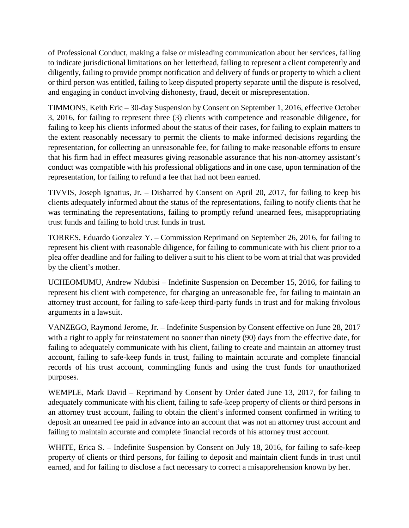of Professional Conduct, making a false or misleading communication about her services, failing to indicate jurisdictional limitations on her letterhead, failing to represent a client competently and diligently, failing to provide prompt notification and delivery of funds or property to which a client or third person was entitled, failing to keep disputed property separate until the dispute is resolved, and engaging in conduct involving dishonesty, fraud, deceit or misrepresentation.

TIMMONS, Keith Eric – 30-day Suspension by Consent on September 1, 2016, effective October 3, 2016, for failing to represent three (3) clients with competence and reasonable diligence, for failing to keep his clients informed about the status of their cases, for failing to explain matters to the extent reasonably necessary to permit the clients to make informed decisions regarding the representation, for collecting an unreasonable fee, for failing to make reasonable efforts to ensure that his firm had in effect measures giving reasonable assurance that his non-attorney assistant's conduct was compatible with his professional obligations and in one case, upon termination of the representation, for failing to refund a fee that had not been earned.

TIVVIS, Joseph Ignatius, Jr. – Disbarred by Consent on April 20, 2017, for failing to keep his clients adequately informed about the status of the representations, failing to notify clients that he was terminating the representations, failing to promptly refund unearned fees, misappropriating trust funds and failing to hold trust funds in trust.

TORRES, Eduardo Gonzalez Y. – Commission Reprimand on September 26, 2016, for failing to represent his client with reasonable diligence, for failing to communicate with his client prior to a plea offer deadline and for failing to deliver a suit to his client to be worn at trial that was provided by the client's mother.

UCHEOMUMU, Andrew Ndubisi – Indefinite Suspension on December 15, 2016, for failing to represent his client with competence, for charging an unreasonable fee, for failing to maintain an attorney trust account, for failing to safe-keep third-party funds in trust and for making frivolous arguments in a lawsuit.

VANZEGO, Raymond Jerome, Jr. – Indefinite Suspension by Consent effective on June 28, 2017 with a right to apply for reinstatement no sooner than ninety (90) days from the effective date, for failing to adequately communicate with his client, failing to create and maintain an attorney trust account, failing to safe-keep funds in trust, failing to maintain accurate and complete financial records of his trust account, commingling funds and using the trust funds for unauthorized purposes.

WEMPLE, Mark David – Reprimand by Consent by Order dated June 13, 2017, for failing to adequately communicate with his client, failing to safe-keep property of clients or third persons in an attorney trust account, failing to obtain the client's informed consent confirmed in writing to deposit an unearned fee paid in advance into an account that was not an attorney trust account and failing to maintain accurate and complete financial records of his attorney trust account.

WHITE, Erica S. – Indefinite Suspension by Consent on July 18, 2016, for failing to safe-keep property of clients or third persons, for failing to deposit and maintain client funds in trust until earned, and for failing to disclose a fact necessary to correct a misapprehension known by her.